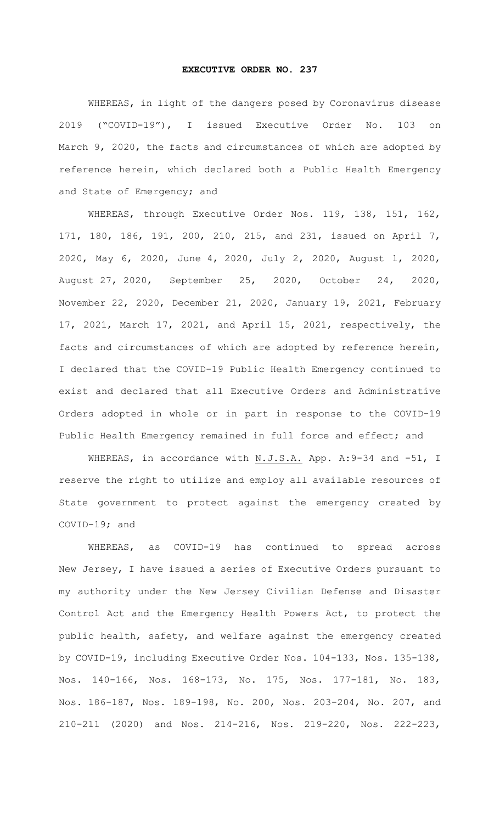## **EXECUTIVE ORDER NO. 237**

WHEREAS, in light of the dangers posed by Coronavirus disease 2019 ("COVID-19"), I issued Executive Order No. 103 on March 9, 2020, the facts and circumstances of which are adopted by reference herein, which declared both a Public Health Emergency and State of Emergency; and

WHEREAS, through Executive Order Nos. 119, 138, 151, 162, 171, 180, 186, 191, 200, 210, 215, and 231, issued on April 7, 2020, May 6, 2020, June 4, 2020, July 2, 2020, August 1, 2020, August 27, 2020, September 25, 2020, October 24, 2020, November 22, 2020, December 21, 2020, January 19, 2021, February 17, 2021, March 17, 2021, and April 15, 2021, respectively, the facts and circumstances of which are adopted by reference herein, I declared that the COVID-19 Public Health Emergency continued to exist and declared that all Executive Orders and Administrative Orders adopted in whole or in part in response to the COVID-19 Public Health Emergency remained in full force and effect; and

WHEREAS, in accordance with N.J.S.A. App. A: 9-34 and -51, I reserve the right to utilize and employ all available resources of State government to protect against the emergency created by COVID-19; and

WHEREAS, as COVID-19 has continued to spread across New Jersey, I have issued a series of Executive Orders pursuant to my authority under the New Jersey Civilian Defense and Disaster Control Act and the Emergency Health Powers Act, to protect the public health, safety, and welfare against the emergency created by COVID-19, including Executive Order Nos. 104-133, Nos. 135-138, Nos. 140-166, Nos. 168-173, No. 175, Nos. 177-181, No. 183, Nos. 186-187, Nos. 189-198, No. 200, Nos. 203-204, No. 207, and 210-211 (2020) and Nos. 214-216, Nos. 219-220, Nos. 222-223,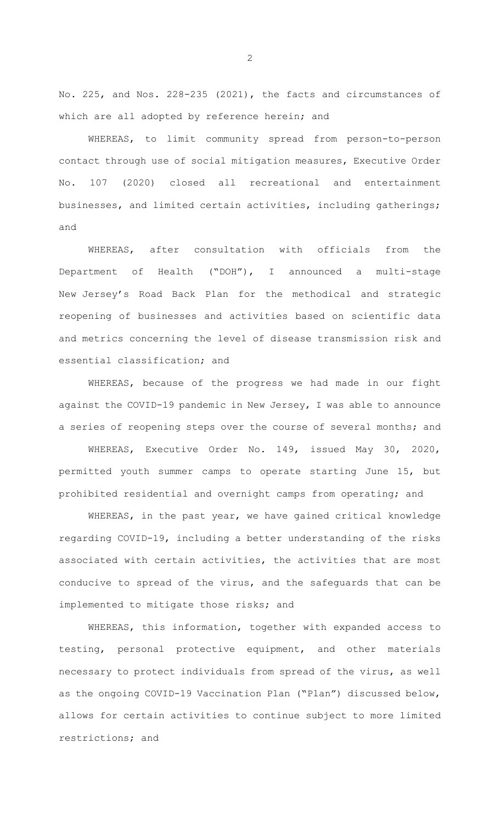No. 225, and Nos. 228-235 (2021), the facts and circumstances of which are all adopted by reference herein; and

WHEREAS, to limit community spread from person-to-person contact through use of social mitigation measures, Executive Order No. 107 (2020) closed all recreational and entertainment businesses, and limited certain activities, including gatherings; and

WHEREAS, after consultation with officials from the Department of Health ("DOH"), I announced a multi-stage New Jersey's Road Back Plan for the methodical and strategic reopening of businesses and activities based on scientific data and metrics concerning the level of disease transmission risk and essential classification; and

WHEREAS, because of the progress we had made in our fight against the COVID-19 pandemic in New Jersey, I was able to announce a series of reopening steps over the course of several months; and

WHEREAS, Executive Order No. 149, issued May 30, 2020, permitted youth summer camps to operate starting June 15, but prohibited residential and overnight camps from operating; and

WHEREAS, in the past year, we have gained critical knowledge regarding COVID-19, including a better understanding of the risks associated with certain activities, the activities that are most conducive to spread of the virus, and the safeguards that can be implemented to mitigate those risks; and

WHEREAS, this information, together with expanded access to testing, personal protective equipment, and other materials necessary to protect individuals from spread of the virus, as well as the ongoing COVID-19 Vaccination Plan ("Plan") discussed below, allows for certain activities to continue subject to more limited restrictions; and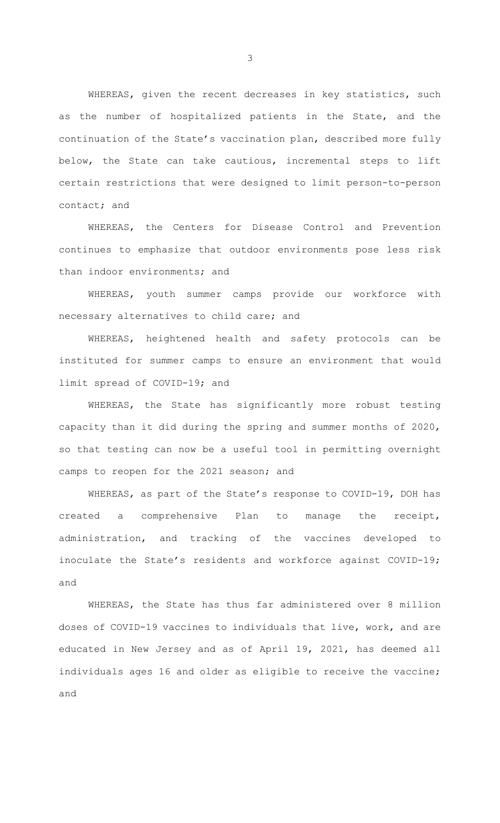WHEREAS, given the recent decreases in key statistics, such as the number of hospitalized patients in the State, and the continuation of the State's vaccination plan, described more fully below, the State can take cautious, incremental steps to lift certain restrictions that were designed to limit person-to-person contact; and

WHEREAS, the Centers for Disease Control and Prevention continues to emphasize that outdoor environments pose less risk than indoor environments; and

WHEREAS, youth summer camps provide our workforce with necessary alternatives to child care; and

WHEREAS, heightened health and safety protocols can be instituted for summer camps to ensure an environment that would limit spread of COVID-19; and

WHEREAS, the State has significantly more robust testing capacity than it did during the spring and summer months of 2020, so that testing can now be a useful tool in permitting overnight camps to reopen for the 2021 season; and

WHEREAS, as part of the State's response to COVID-19, DOH has created a comprehensive Plan to manage the receipt, administration, and tracking of the vaccines developed to inoculate the State's residents and workforce against COVID-19; and

WHEREAS, the State has thus far administered over 8 million doses of COVID-19 vaccines to individuals that live, work, and are educated in New Jersey and as of April 19, 2021, has deemed all individuals ages 16 and older as eligible to receive the vaccine; and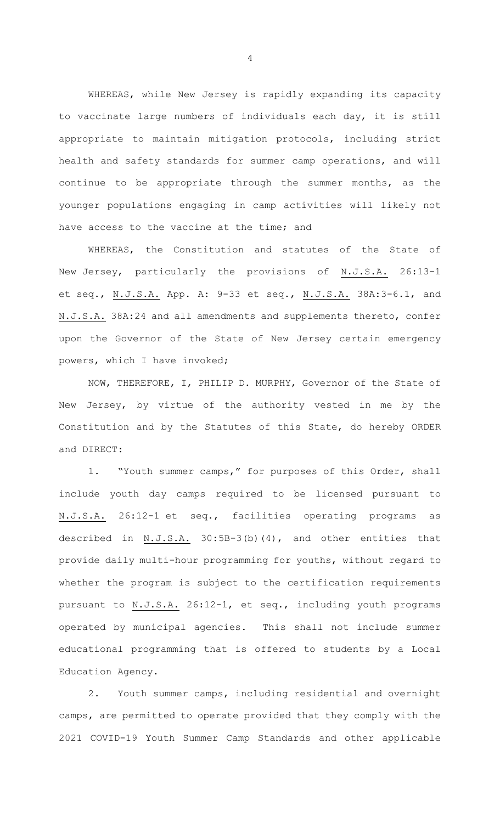WHEREAS, while New Jersey is rapidly expanding its capacity to vaccinate large numbers of individuals each day, it is still appropriate to maintain mitigation protocols, including strict health and safety standards for summer camp operations, and will continue to be appropriate through the summer months, as the younger populations engaging in camp activities will likely not have access to the vaccine at the time; and

WHEREAS, the Constitution and statutes of the State of New Jersey, particularly the provisions of N.J.S.A. 26:13-1 et seq., N.J.S.A. App. A: 9-33 et seq., N.J.S.A. 38A:3-6.1, and N.J.S.A. 38A:24 and all amendments and supplements thereto, confer upon the Governor of the State of New Jersey certain emergency powers, which I have invoked;

NOW, THEREFORE, I, PHILIP D. MURPHY, Governor of the State of New Jersey, by virtue of the authority vested in me by the Constitution and by the Statutes of this State, do hereby ORDER and DIRECT:

1. "Youth summer camps," for purposes of this Order, shall include youth day camps required to be licensed pursuant to N.J.S.A. 26:12-1 et seq., facilities operating programs as described in N.J.S.A. 30:5B-3(b)(4), and other entities that provide daily multi-hour programming for youths, without regard to whether the program is subject to the certification requirements pursuant to N.J.S.A. 26:12-1, et seq., including youth programs operated by municipal agencies. This shall not include summer educational programming that is offered to students by a Local Education Agency.

2. Youth summer camps, including residential and overnight camps, are permitted to operate provided that they comply with the 2021 COVID-19 Youth Summer Camp Standards and other applicable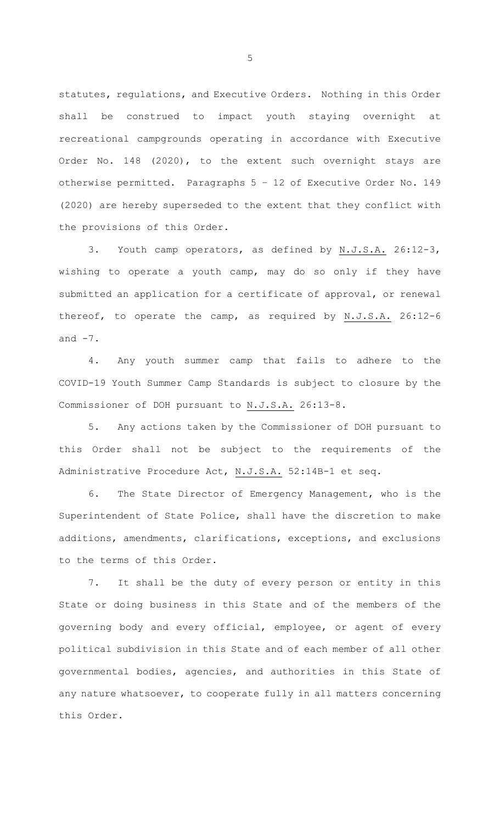statutes, regulations, and Executive Orders. Nothing in this Order shall be construed to impact youth staying overnight at recreational campgrounds operating in accordance with Executive Order No. 148 (2020), to the extent such overnight stays are otherwise permitted. Paragraphs 5 – 12 of Executive Order No. 149 (2020) are hereby superseded to the extent that they conflict with the provisions of this Order.

3. Youth camp operators, as defined by N.J.S.A. 26:12-3, wishing to operate a youth camp, may do so only if they have submitted an application for a certificate of approval, or renewal thereof, to operate the camp, as required by N.J.S.A. 26:12-6 and  $-7$ .

4. Any youth summer camp that fails to adhere to the COVID-19 Youth Summer Camp Standards is subject to closure by the Commissioner of DOH pursuant to N.J.S.A. 26:13-8.

5. Any actions taken by the Commissioner of DOH pursuant to this Order shall not be subject to the requirements of the Administrative Procedure Act, N.J.S.A. 52:14B-1 et seq.

6. The State Director of Emergency Management, who is the Superintendent of State Police, shall have the discretion to make additions, amendments, clarifications, exceptions, and exclusions to the terms of this Order.

7. It shall be the duty of every person or entity in this State or doing business in this State and of the members of the governing body and every official, employee, or agent of every political subdivision in this State and of each member of all other governmental bodies, agencies, and authorities in this State of any nature whatsoever, to cooperate fully in all matters concerning this Order.